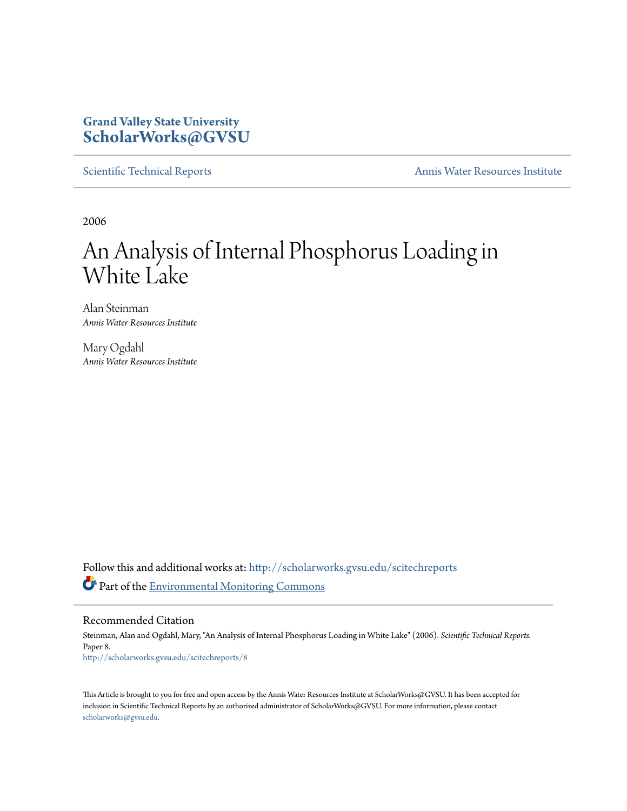# **Grand Valley State University [ScholarWorks@GVSU](http://scholarworks.gvsu.edu?utm_source=scholarworks.gvsu.edu%2Fscitechreports%2F8&utm_medium=PDF&utm_campaign=PDFCoverPages)**

[Scientific Technical Reports](http://scholarworks.gvsu.edu/scitechreports?utm_source=scholarworks.gvsu.edu%2Fscitechreports%2F8&utm_medium=PDF&utm_campaign=PDFCoverPages) **[Annis Water Resources Institute](http://scholarworks.gvsu.edu/awri?utm_source=scholarworks.gvsu.edu%2Fscitechreports%2F8&utm_medium=PDF&utm_campaign=PDFCoverPages)** 

2006

# An Analysis of Internal Phosphorus Loading in White Lake

Alan Steinman *Annis Water Resources Institute*

Mary Ogdahl *Annis Water Resources Institute*

Follow this and additional works at: [http://scholarworks.gvsu.edu/scitechreports](http://scholarworks.gvsu.edu/scitechreports?utm_source=scholarworks.gvsu.edu%2Fscitechreports%2F8&utm_medium=PDF&utm_campaign=PDFCoverPages) Part of the [Environmental Monitoring Commons](http://network.bepress.com/hgg/discipline/931?utm_source=scholarworks.gvsu.edu%2Fscitechreports%2F8&utm_medium=PDF&utm_campaign=PDFCoverPages)

Recommended Citation

Steinman, Alan and Ogdahl, Mary, "An Analysis of Internal Phosphorus Loading in White Lake" (2006). *Scientific Technical Reports.* Paper 8. [http://scholarworks.gvsu.edu/scitechreports/8](http://scholarworks.gvsu.edu/scitechreports/8?utm_source=scholarworks.gvsu.edu%2Fscitechreports%2F8&utm_medium=PDF&utm_campaign=PDFCoverPages)

This Article is brought to you for free and open access by the Annis Water Resources Institute at ScholarWorks@GVSU. It has been accepted for inclusion in Scientific Technical Reports by an authorized administrator of ScholarWorks@GVSU. For more information, please contact [scholarworks@gvsu.edu](mailto:scholarworks@gvsu.edu).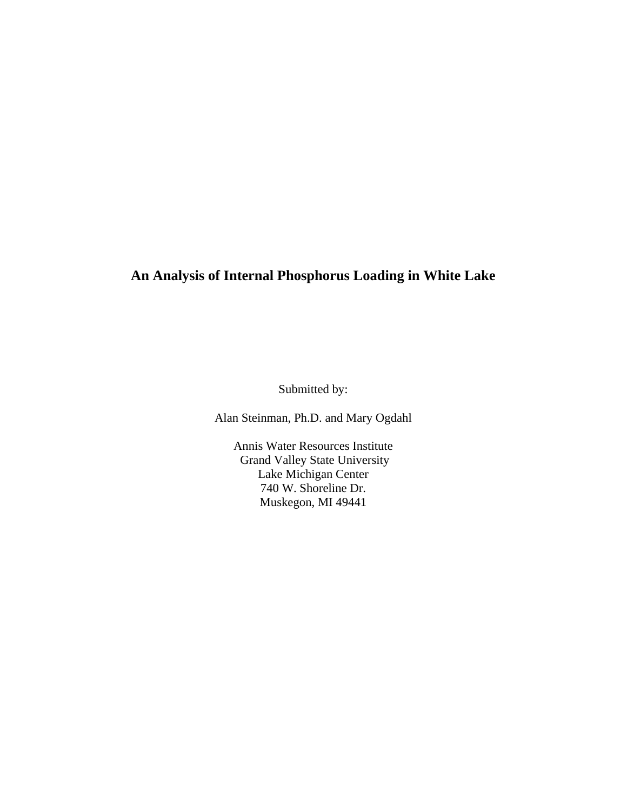# **An Analysis of Internal Phosphorus Loading in White Lake**

Submitted by:

Alan Steinman, Ph.D. and Mary Ogdahl

Annis Water Resources Institute Grand Valley State University Lake Michigan Center 740 W. Shoreline Dr. Muskegon, MI 49441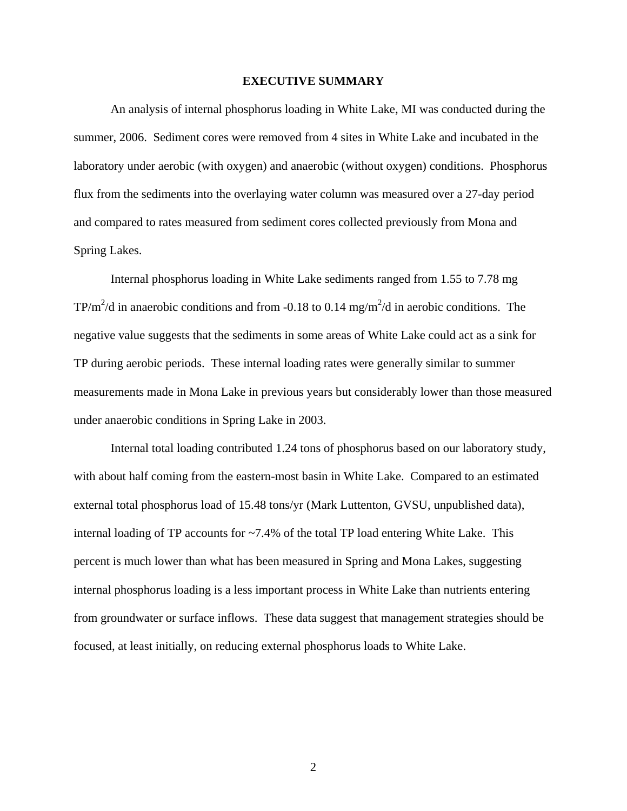# **EXECUTIVE SUMMARY**

An analysis of internal phosphorus loading in White Lake, MI was conducted during the summer, 2006. Sediment cores were removed from 4 sites in White Lake and incubated in the laboratory under aerobic (with oxygen) and anaerobic (without oxygen) conditions. Phosphorus flux from the sediments into the overlaying water column was measured over a 27-day period and compared to rates measured from sediment cores collected previously from Mona and Spring Lakes.

 Internal phosphorus loading in White Lake sediments ranged from 1.55 to 7.78 mg TP/m<sup>2</sup>/d in anaerobic conditions and from -0.18 to 0.14 mg/m<sup>2</sup>/d in aerobic conditions. The negative value suggests that the sediments in some areas of White Lake could act as a sink for TP during aerobic periods. These internal loading rates were generally similar to summer measurements made in Mona Lake in previous years but considerably lower than those measured under anaerobic conditions in Spring Lake in 2003.

 Internal total loading contributed 1.24 tons of phosphorus based on our laboratory study, with about half coming from the eastern-most basin in White Lake. Compared to an estimated external total phosphorus load of 15.48 tons/yr (Mark Luttenton, GVSU, unpublished data), internal loading of TP accounts for ~7.4% of the total TP load entering White Lake. This percent is much lower than what has been measured in Spring and Mona Lakes, suggesting internal phosphorus loading is a less important process in White Lake than nutrients entering from groundwater or surface inflows. These data suggest that management strategies should be focused, at least initially, on reducing external phosphorus loads to White Lake.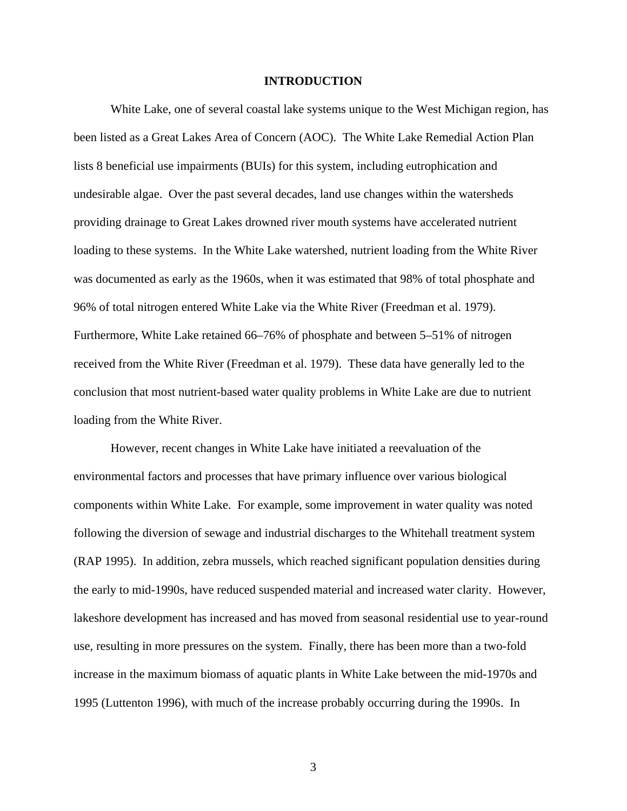# **INTRODUCTION**

 White Lake, one of several coastal lake systems unique to the West Michigan region, has been listed as a Great Lakes Area of Concern (AOC). The White Lake Remedial Action Plan lists 8 beneficial use impairments (BUIs) for this system, including eutrophication and undesirable algae. Over the past several decades, land use changes within the watersheds providing drainage to Great Lakes drowned river mouth systems have accelerated nutrient loading to these systems. In the White Lake watershed, nutrient loading from the White River was documented as early as the 1960s, when it was estimated that 98% of total phosphate and 96% of total nitrogen entered White Lake via the White River (Freedman et al. 1979). Furthermore, White Lake retained 66–76% of phosphate and between 5–51% of nitrogen received from the White River (Freedman et al. 1979). These data have generally led to the conclusion that most nutrient-based water quality problems in White Lake are due to nutrient loading from the White River.

 However, recent changes in White Lake have initiated a reevaluation of the environmental factors and processes that have primary influence over various biological components within White Lake. For example, some improvement in water quality was noted following the diversion of sewage and industrial discharges to the Whitehall treatment system (RAP 1995). In addition, zebra mussels, which reached significant population densities during the early to mid-1990s, have reduced suspended material and increased water clarity. However, lakeshore development has increased and has moved from seasonal residential use to year-round use, resulting in more pressures on the system. Finally, there has been more than a two-fold increase in the maximum biomass of aquatic plants in White Lake between the mid-1970s and 1995 (Luttenton 1996), with much of the increase probably occurring during the 1990s. In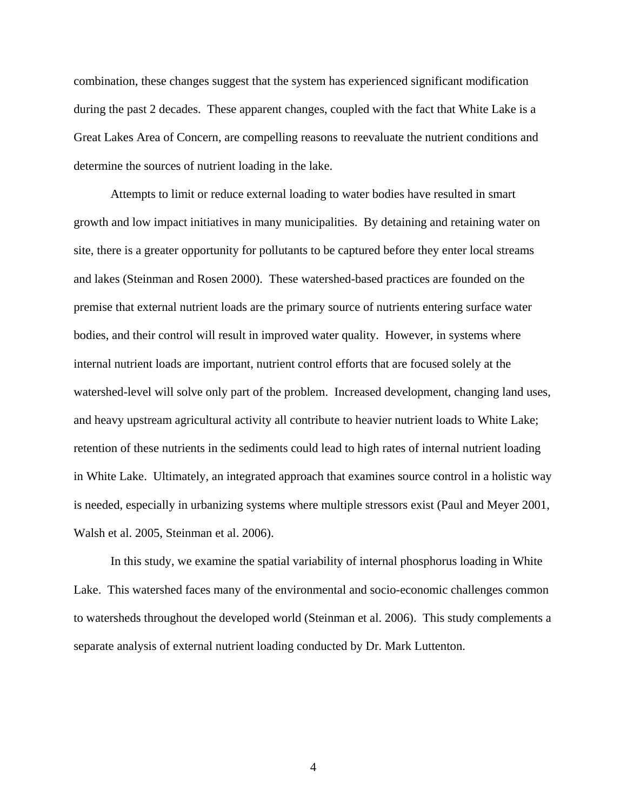combination, these changes suggest that the system has experienced significant modification during the past 2 decades. These apparent changes, coupled with the fact that White Lake is a Great Lakes Area of Concern, are compelling reasons to reevaluate the nutrient conditions and determine the sources of nutrient loading in the lake.

 Attempts to limit or reduce external loading to water bodies have resulted in smart growth and low impact initiatives in many municipalities. By detaining and retaining water on site, there is a greater opportunity for pollutants to be captured before they enter local streams and lakes (Steinman and Rosen 2000). These watershed-based practices are founded on the premise that external nutrient loads are the primary source of nutrients entering surface water bodies, and their control will result in improved water quality. However, in systems where internal nutrient loads are important, nutrient control efforts that are focused solely at the watershed-level will solve only part of the problem. Increased development, changing land uses, and heavy upstream agricultural activity all contribute to heavier nutrient loads to White Lake; retention of these nutrients in the sediments could lead to high rates of internal nutrient loading in White Lake. Ultimately, an integrated approach that examines source control in a holistic way is needed, especially in urbanizing systems where multiple stressors exist (Paul and Meyer 2001, Walsh et al. 2005, Steinman et al. 2006).

 In this study, we examine the spatial variability of internal phosphorus loading in White Lake. This watershed faces many of the environmental and socio-economic challenges common to watersheds throughout the developed world (Steinman et al. 2006). This study complements a separate analysis of external nutrient loading conducted by Dr. Mark Luttenton.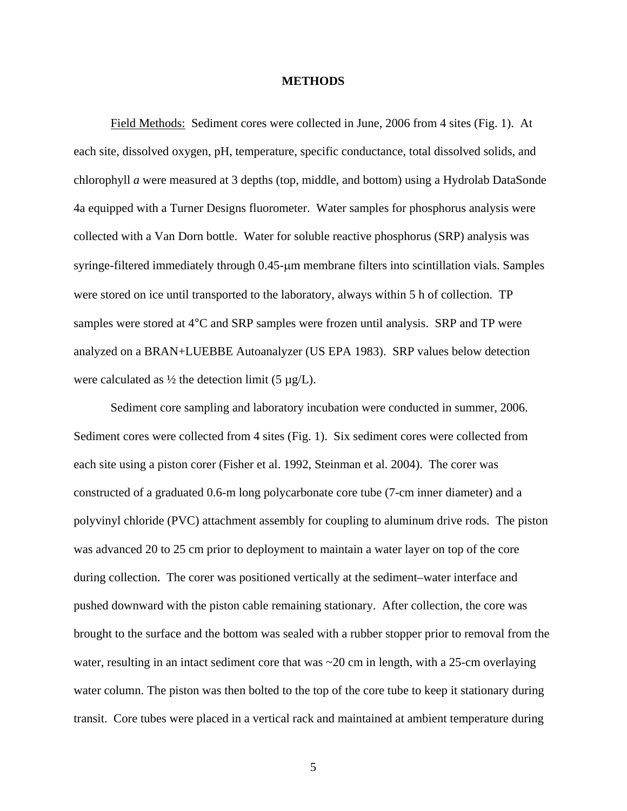# **METHODS**

Field Methods: Sediment cores were collected in June, 2006 from 4 sites (Fig. 1). At each site, dissolved oxygen, pH, temperature, specific conductance, total dissolved solids, and chlorophyll *a* were measured at 3 depths (top, middle, and bottom) using a Hydrolab DataSonde 4a equipped with a Turner Designs fluorometer. Water samples for phosphorus analysis were collected with a Van Dorn bottle. Water for soluble reactive phosphorus (SRP) analysis was syringe-filtered immediately through 0.45-μm membrane filters into scintillation vials. Samples were stored on ice until transported to the laboratory, always within 5 h of collection. TP samples were stored at 4°C and SRP samples were frozen until analysis. SRP and TP were analyzed on a BRAN+LUEBBE Autoanalyzer (US EPA 1983). SRP values below detection were calculated as  $\frac{1}{2}$  the detection limit (5  $\mu$ g/L).

 Sediment core sampling and laboratory incubation were conducted in summer, 2006. Sediment cores were collected from 4 sites (Fig. 1). Six sediment cores were collected from each site using a piston corer (Fisher et al. 1992, Steinman et al. 2004). The corer was constructed of a graduated 0.6-m long polycarbonate core tube (7-cm inner diameter) and a polyvinyl chloride (PVC) attachment assembly for coupling to aluminum drive rods. The piston was advanced 20 to 25 cm prior to deployment to maintain a water layer on top of the core during collection. The corer was positioned vertically at the sediment–water interface and pushed downward with the piston cable remaining stationary. After collection, the core was brought to the surface and the bottom was sealed with a rubber stopper prior to removal from the water, resulting in an intact sediment core that was  $\sim$  20 cm in length, with a 25-cm overlaying water column. The piston was then bolted to the top of the core tube to keep it stationary during transit. Core tubes were placed in a vertical rack and maintained at ambient temperature during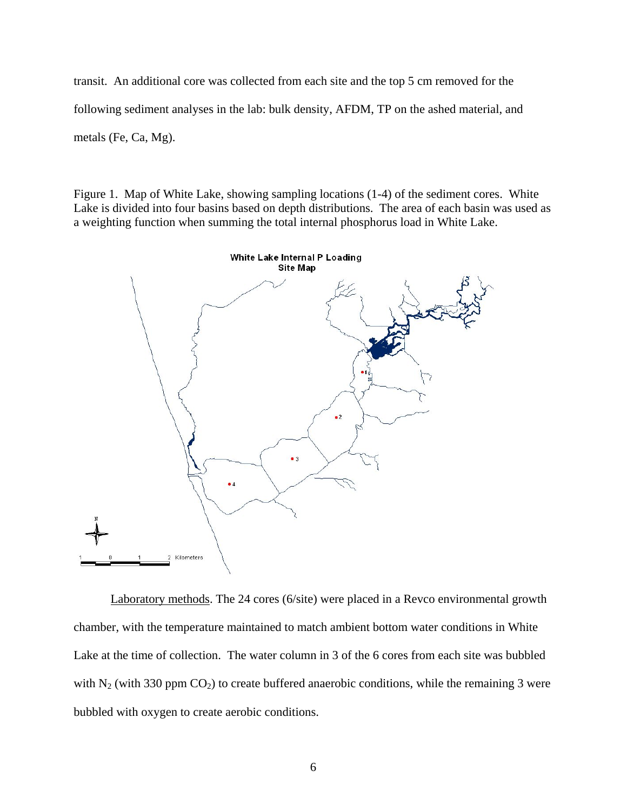transit. An additional core was collected from each site and the top 5 cm removed for the following sediment analyses in the lab: bulk density, AFDM, TP on the ashed material, and metals (Fe, Ca, Mg).

Figure 1. Map of White Lake, showing sampling locations (1-4) of the sediment cores. White Lake is divided into four basins based on depth distributions. The area of each basin was used as a weighting function when summing the total internal phosphorus load in White Lake.



Laboratory methods. The 24 cores (6/site) were placed in a Revco environmental growth chamber, with the temperature maintained to match ambient bottom water conditions in White Lake at the time of collection. The water column in 3 of the 6 cores from each site was bubbled with  $N_2$  (with 330 ppm  $CO_2$ ) to create buffered anaerobic conditions, while the remaining 3 were bubbled with oxygen to create aerobic conditions.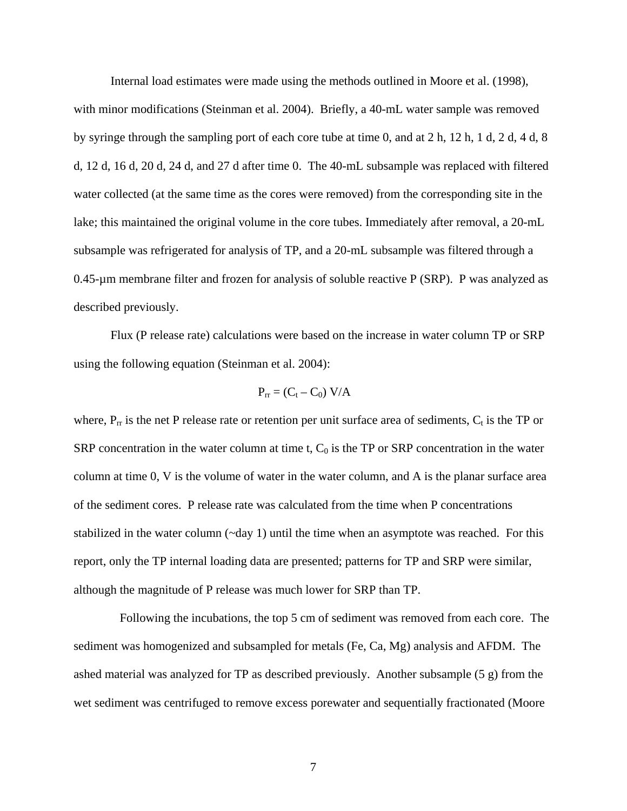Internal load estimates were made using the methods outlined in Moore et al. (1998),

with minor modifications (Steinman et al. 2004). Briefly, a 40-mL water sample was removed by syringe through the sampling port of each core tube at time 0, and at 2 h, 12 h, 1 d, 2 d, 4 d, 8 d, 12 d, 16 d, 20 d, 24 d, and 27 d after time 0. The 40-mL subsample was replaced with filtered water collected (at the same time as the cores were removed) from the corresponding site in the lake; this maintained the original volume in the core tubes. Immediately after removal, a 20-mL subsample was refrigerated for analysis of TP, and a 20-mL subsample was filtered through a 0.45-µm membrane filter and frozen for analysis of soluble reactive P (SRP). P was analyzed as described previously.

 Flux (P release rate) calculations were based on the increase in water column TP or SRP using the following equation (Steinman et al. 2004):

$$
P_{rr} = (C_t - C_0) V/A
$$

where,  $P_{rr}$  is the net P release rate or retention per unit surface area of sediments,  $C_t$  is the TP or SRP concentration in the water column at time t,  $C_0$  is the TP or SRP concentration in the water column at time 0, V is the volume of water in the water column, and A is the planar surface area of the sediment cores. P release rate was calculated from the time when P concentrations stabilized in the water column  $(\sim$ day 1) until the time when an asymptote was reached. For this report, only the TP internal loading data are presented; patterns for TP and SRP were similar, although the magnitude of P release was much lower for SRP than TP.

 Following the incubations, the top 5 cm of sediment was removed from each core. The sediment was homogenized and subsampled for metals (Fe, Ca, Mg) analysis and AFDM. The ashed material was analyzed for TP as described previously. Another subsample (5 g) from the wet sediment was centrifuged to remove excess porewater and sequentially fractionated (Moore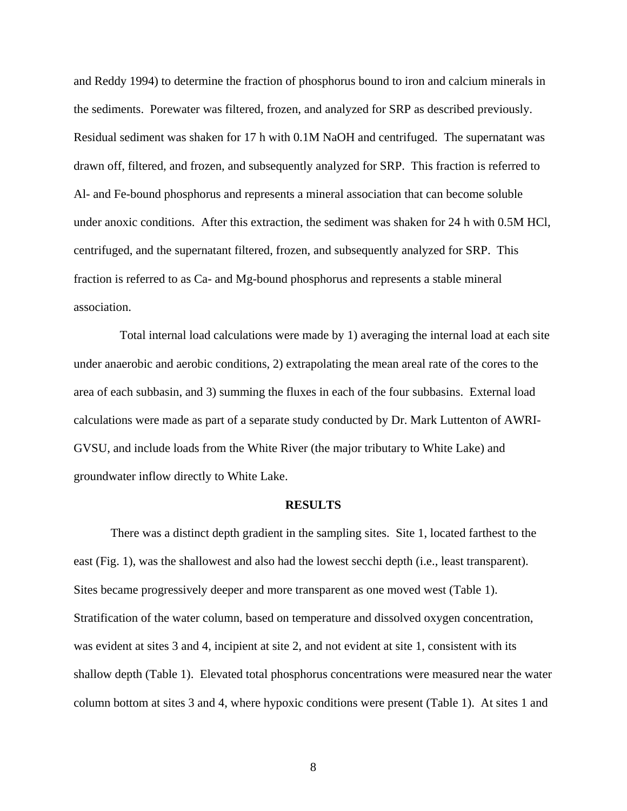and Reddy 1994) to determine the fraction of phosphorus bound to iron and calcium minerals in the sediments. Porewater was filtered, frozen, and analyzed for SRP as described previously. Residual sediment was shaken for 17 h with 0.1M NaOH and centrifuged. The supernatant was drawn off, filtered, and frozen, and subsequently analyzed for SRP. This fraction is referred to Al- and Fe-bound phosphorus and represents a mineral association that can become soluble under anoxic conditions. After this extraction, the sediment was shaken for 24 h with 0.5M HCl, centrifuged, and the supernatant filtered, frozen, and subsequently analyzed for SRP. This fraction is referred to as Ca- and Mg-bound phosphorus and represents a stable mineral association.

 Total internal load calculations were made by 1) averaging the internal load at each site under anaerobic and aerobic conditions, 2) extrapolating the mean areal rate of the cores to the area of each subbasin, and 3) summing the fluxes in each of the four subbasins. External load calculations were made as part of a separate study conducted by Dr. Mark Luttenton of AWRI-GVSU, and include loads from the White River (the major tributary to White Lake) and groundwater inflow directly to White Lake.

#### **RESULTS**

 There was a distinct depth gradient in the sampling sites. Site 1, located farthest to the east (Fig. 1), was the shallowest and also had the lowest secchi depth (i.e., least transparent). Sites became progressively deeper and more transparent as one moved west (Table 1). Stratification of the water column, based on temperature and dissolved oxygen concentration, was evident at sites 3 and 4, incipient at site 2, and not evident at site 1, consistent with its shallow depth (Table 1). Elevated total phosphorus concentrations were measured near the water column bottom at sites 3 and 4, where hypoxic conditions were present (Table 1). At sites 1 and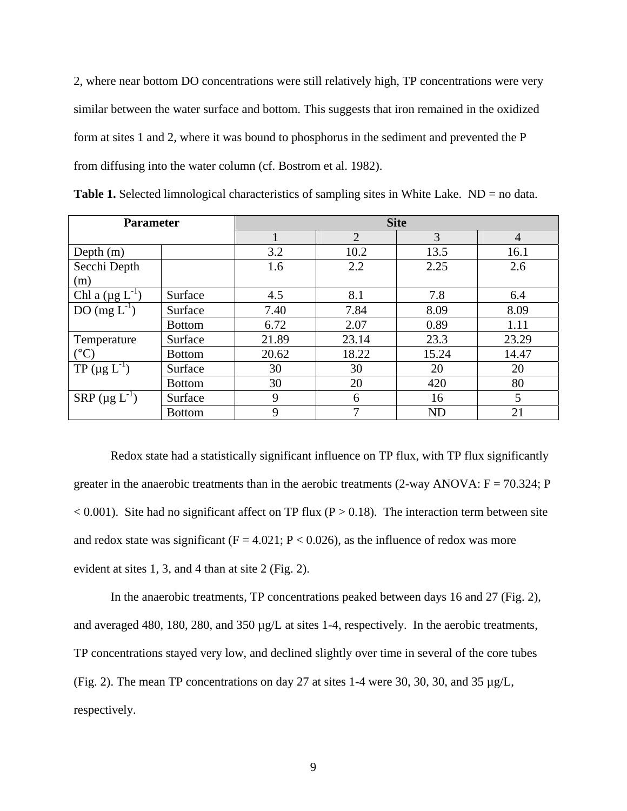2, where near bottom DO concentrations were still relatively high, TP concentrations were very similar between the water surface and bottom. This suggests that iron remained in the oxidized form at sites 1 and 2, where it was bound to phosphorus in the sediment and prevented the P from diffusing into the water column (cf. Bostrom et al. 1982).

| <b>Parameter</b>                   |               | <b>Site</b> |       |           |                |
|------------------------------------|---------------|-------------|-------|-----------|----------------|
|                                    |               |             | 2     | 3         | $\overline{4}$ |
| Depth $(m)$                        |               | 3.2         | 10.2  | 13.5      | 16.1           |
| Secchi Depth                       |               | 1.6         | 2.2   | 2.25      | 2.6            |
| (m)                                |               |             |       |           |                |
| Chl a $(\mu g L^{-1})$             | Surface       | 4.5         | 8.1   | 7.8       | 6.4            |
| $DO(mg L-1)$                       | Surface       | 7.40        | 7.84  | 8.09      | 8.09           |
|                                    | <b>Bottom</b> | 6.72        | 2.07  | 0.89      | 1.11           |
| Temperature                        | Surface       | 21.89       | 23.14 | 23.3      | 23.29          |
| $(^{\circ}C)$                      | <b>Bottom</b> | 20.62       | 18.22 | 15.24     | 14.47          |
| $TP (\mu g L^{-1})$                | Surface       | 30          | 30    | 20        | 20             |
|                                    | <b>Bottom</b> | 30          | 20    | 420       | 80             |
| $\text{SRP}$ (µg $\text{L}^{-1}$ ) | Surface       | 9           | 6     | 16        | 5              |
|                                    | <b>Bottom</b> | 9           | 7     | <b>ND</b> | 21             |

**Table 1.** Selected limnological characteristics of sampling sites in White Lake. ND = no data.

 Redox state had a statistically significant influence on TP flux, with TP flux significantly greater in the anaerobic treatments than in the aerobic treatments  $(2$ -way ANOVA:  $F = 70.324$ ; P  $< 0.001$ ). Site had no significant affect on TP flux (P  $> 0.18$ ). The interaction term between site and redox state was significant ( $F = 4.021$ ;  $P < 0.026$ ), as the influence of redox was more evident at sites 1, 3, and 4 than at site 2 (Fig. 2).

 In the anaerobic treatments, TP concentrations peaked between days 16 and 27 (Fig. 2), and averaged 480, 180, 280, and 350 µg/L at sites 1-4, respectively. In the aerobic treatments, TP concentrations stayed very low, and declined slightly over time in several of the core tubes (Fig. 2). The mean TP concentrations on day 27 at sites 1-4 were 30, 30, 30, and 35 µg/L, respectively.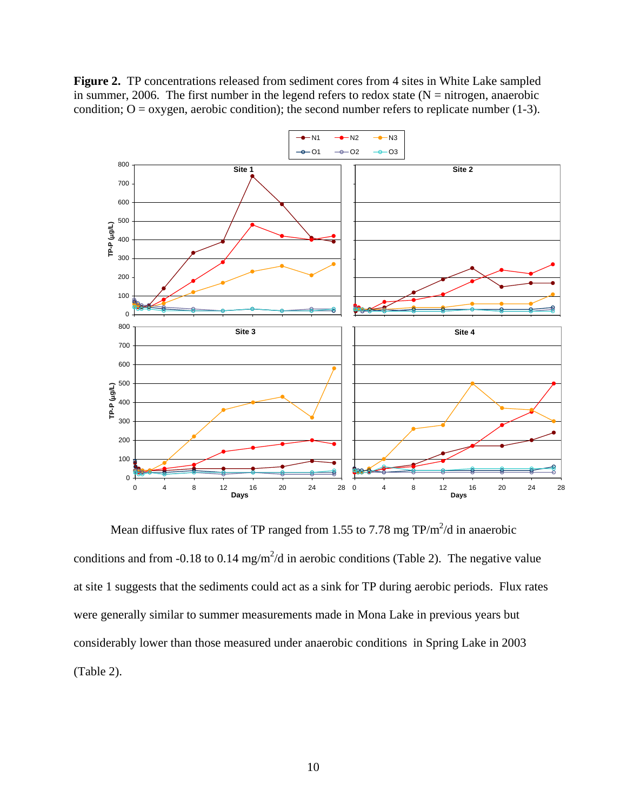**Figure 2.** TP concentrations released from sediment cores from 4 sites in White Lake sampled in summer, 2006. The first number in the legend refers to redox state  $(N = nitrogen, anaerobic)$ condition;  $O = \alpha$ ygen, aerobic condition); the second number refers to replicate number (1-3).



Mean diffusive flux rates of TP ranged from 1.55 to 7.78 mg  $TP/m^2/d$  in anaerobic conditions and from -0.18 to 0.14 mg/m<sup>2</sup>/d in aerobic conditions (Table 2). The negative value at site 1 suggests that the sediments could act as a sink for TP during aerobic periods. Flux rates were generally similar to summer measurements made in Mona Lake in previous years but considerably lower than those measured under anaerobic conditions in Spring Lake in 2003 (Table 2).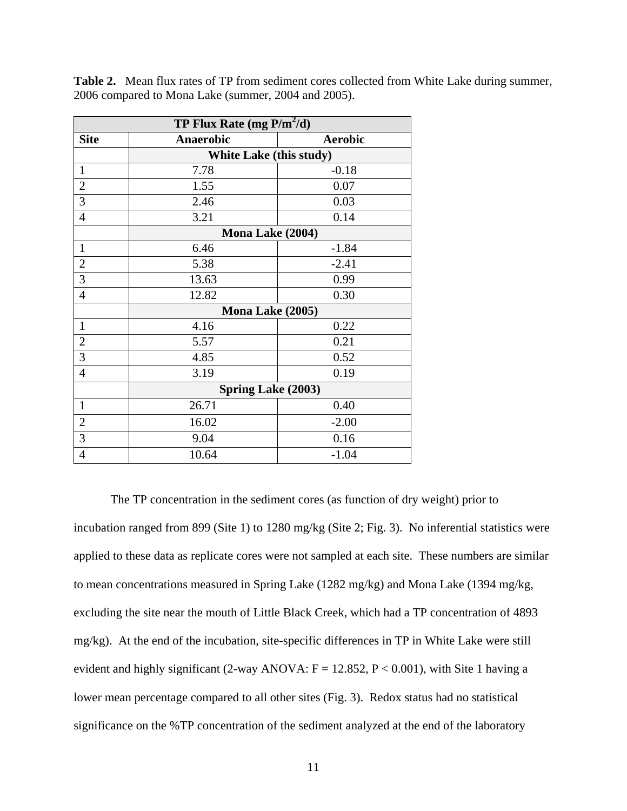| <b>TP Flux Rate (mg P/m<sup>2</sup>/d)</b> |                                |                |  |  |
|--------------------------------------------|--------------------------------|----------------|--|--|
| <b>Site</b>                                | <b>Anaerobic</b>               | <b>Aerobic</b> |  |  |
|                                            | <b>White Lake (this study)</b> |                |  |  |
| $\mathbf{1}$                               | 7.78                           | $-0.18$        |  |  |
| $\overline{c}$                             | 1.55                           | 0.07           |  |  |
| $\overline{3}$                             | 2.46                           | 0.03           |  |  |
| $\overline{4}$                             | 3.21                           | 0.14           |  |  |
|                                            | Mona Lake (2004)               |                |  |  |
| $\mathbf{1}$                               | 6.46                           | $-1.84$        |  |  |
| $\mathbf{2}$                               | 5.38                           | $-2.41$        |  |  |
| $\overline{3}$                             | 13.63                          | 0.99           |  |  |
| $\overline{4}$                             | 12.82                          | 0.30           |  |  |
|                                            | Mona Lake (2005)               |                |  |  |
| $\mathbf{1}$                               | 4.16                           | 0.22           |  |  |
| $\boldsymbol{2}$                           | 5.57                           | 0.21           |  |  |
| $\overline{3}$                             | 4.85                           | 0.52           |  |  |
| $\overline{4}$                             | 3.19                           | 0.19           |  |  |
|                                            | <b>Spring Lake (2003)</b>      |                |  |  |
| $\mathbf{1}$                               | 26.71                          | 0.40           |  |  |
| $\overline{2}$                             | 16.02                          | $-2.00$        |  |  |
| 3                                          | 9.04                           | 0.16           |  |  |
| $\overline{4}$                             | 10.64                          | $-1.04$        |  |  |

**Table 2.** Mean flux rates of TP from sediment cores collected from White Lake during summer, 2006 compared to Mona Lake (summer, 2004 and 2005).

 The TP concentration in the sediment cores (as function of dry weight) prior to incubation ranged from 899 (Site 1) to 1280 mg/kg (Site 2; Fig. 3). No inferential statistics were applied to these data as replicate cores were not sampled at each site. These numbers are similar to mean concentrations measured in Spring Lake (1282 mg/kg) and Mona Lake (1394 mg/kg, excluding the site near the mouth of Little Black Creek, which had a TP concentration of 4893 mg/kg). At the end of the incubation, site-specific differences in TP in White Lake were still evident and highly significant (2-way ANOVA:  $F = 12.852$ ,  $P < 0.001$ ), with Site 1 having a lower mean percentage compared to all other sites (Fig. 3). Redox status had no statistical significance on the %TP concentration of the sediment analyzed at the end of the laboratory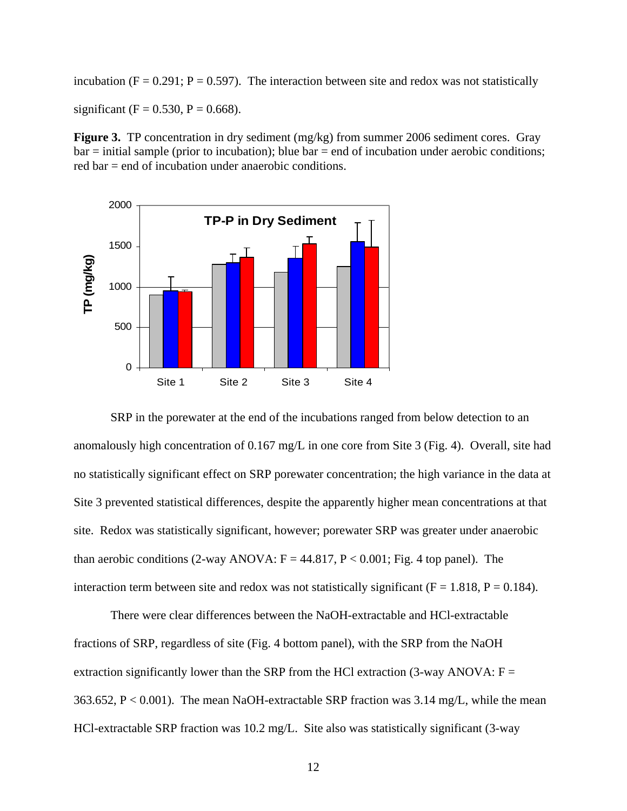incubation ( $F = 0.291$ ;  $P = 0.597$ ). The interaction between site and redox was not statistically significant (F = 0.530, P = 0.668).

**Figure 3.** TP concentration in dry sediment (mg/kg) from summer 2006 sediment cores. Gray  $bar =$  initial sample (prior to incubation); blue  $bar =$  end of incubation under aerobic conditions; red bar = end of incubation under anaerobic conditions.



 SRP in the porewater at the end of the incubations ranged from below detection to an anomalously high concentration of 0.167 mg/L in one core from Site 3 (Fig. 4). Overall, site had no statistically significant effect on SRP porewater concentration; the high variance in the data at Site 3 prevented statistical differences, despite the apparently higher mean concentrations at that site. Redox was statistically significant, however; porewater SRP was greater under anaerobic than aerobic conditions (2-way ANOVA:  $F = 44.817$ ,  $P < 0.001$ ; Fig. 4 top panel). The interaction term between site and redox was not statistically significant ( $F = 1.818$ ,  $P = 0.184$ ).

 There were clear differences between the NaOH-extractable and HCl-extractable fractions of SRP, regardless of site (Fig. 4 bottom panel), with the SRP from the NaOH extraction significantly lower than the SRP from the HCl extraction (3-way ANOVA:  $F =$ 363.652, P < 0.001). The mean NaOH-extractable SRP fraction was 3.14 mg/L, while the mean HCl-extractable SRP fraction was 10.2 mg/L. Site also was statistically significant (3-way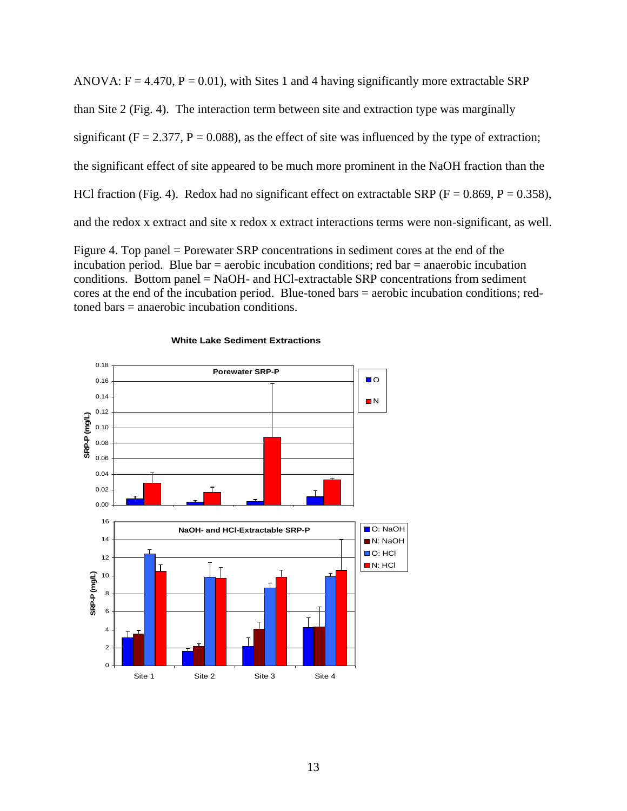ANOVA:  $F = 4.470$ ,  $P = 0.01$ ), with Sites 1 and 4 having significantly more extractable SRP than Site 2 (Fig. 4). The interaction term between site and extraction type was marginally significant ( $F = 2.377$ ,  $P = 0.088$ ), as the effect of site was influenced by the type of extraction; the significant effect of site appeared to be much more prominent in the NaOH fraction than the HCl fraction (Fig. 4). Redox had no significant effect on extractable SRP ( $F = 0.869$ ,  $P = 0.358$ ), and the redox x extract and site x redox x extract interactions terms were non-significant, as well.

Figure 4. Top panel = Porewater SRP concentrations in sediment cores at the end of the incubation period. Blue bar  $=$  aerobic incubation conditions; red bar  $=$  anaerobic incubation conditions. Bottom panel  $=$  NaOH- and HCl-extractable SRP concentrations from sediment cores at the end of the incubation period. Blue-toned bars = aerobic incubation conditions; redtoned bars = anaerobic incubation conditions.



#### **White Lake Sediment Extractions**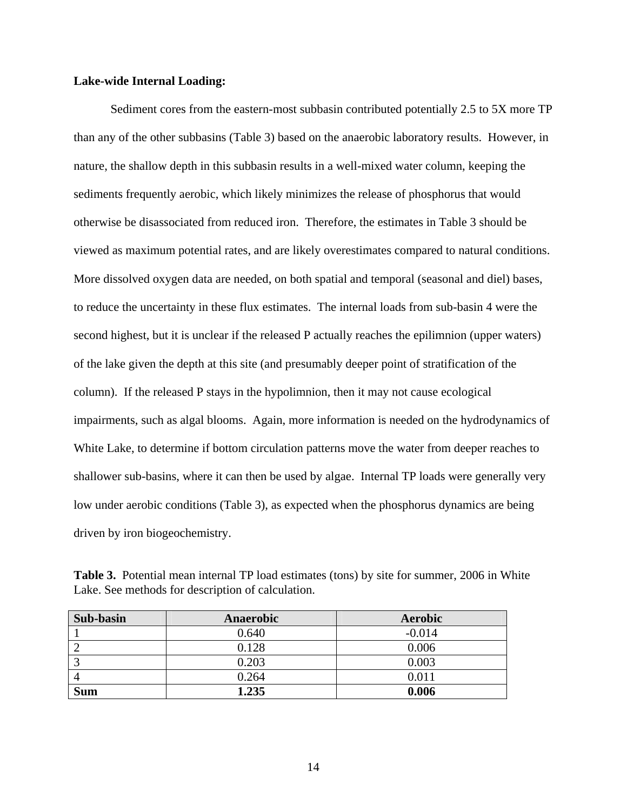# **Lake-wide Internal Loading:**

 Sediment cores from the eastern-most subbasin contributed potentially 2.5 to 5X more TP than any of the other subbasins (Table 3) based on the anaerobic laboratory results. However, in nature, the shallow depth in this subbasin results in a well-mixed water column, keeping the sediments frequently aerobic, which likely minimizes the release of phosphorus that would otherwise be disassociated from reduced iron. Therefore, the estimates in Table 3 should be viewed as maximum potential rates, and are likely overestimates compared to natural conditions. More dissolved oxygen data are needed, on both spatial and temporal (seasonal and diel) bases, to reduce the uncertainty in these flux estimates. The internal loads from sub-basin 4 were the second highest, but it is unclear if the released P actually reaches the epilimnion (upper waters) of the lake given the depth at this site (and presumably deeper point of stratification of the column). If the released P stays in the hypolimnion, then it may not cause ecological impairments, such as algal blooms. Again, more information is needed on the hydrodynamics of White Lake, to determine if bottom circulation patterns move the water from deeper reaches to shallower sub-basins, where it can then be used by algae. Internal TP loads were generally very low under aerobic conditions (Table 3), as expected when the phosphorus dynamics are being driven by iron biogeochemistry.

**Table 3.** Potential mean internal TP load estimates (tons) by site for summer, 2006 in White Lake. See methods for description of calculation.

| <b>Sub-basin</b> | <b>Anaerobic</b> | <b>Aerobic</b> |
|------------------|------------------|----------------|
|                  | 0.640            | $-0.014$       |
|                  | 0.128            | 0.006          |
|                  | 0.203            | 0.003          |
|                  | 0.264            | 0.011          |
| <b>Sum</b>       | 1.235            | 0.006          |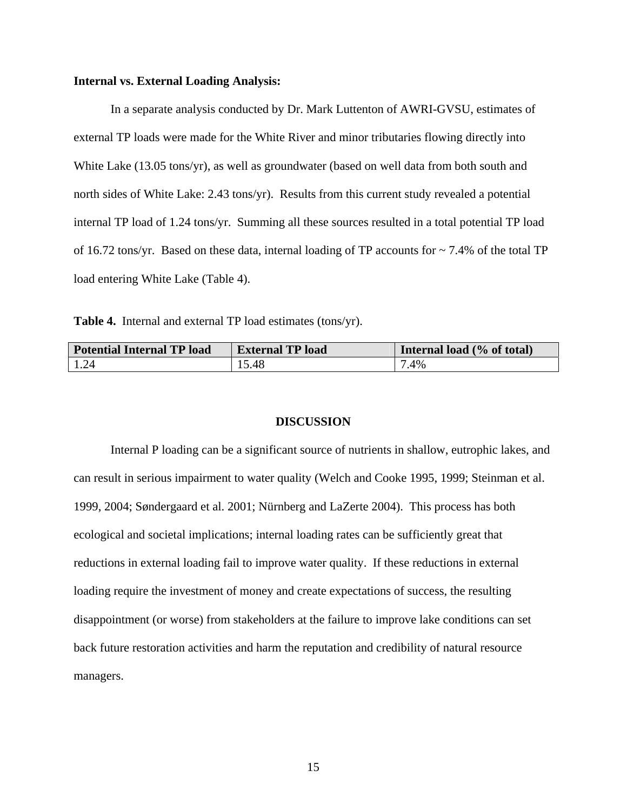# **Internal vs. External Loading Analysis:**

 In a separate analysis conducted by Dr. Mark Luttenton of AWRI-GVSU, estimates of external TP loads were made for the White River and minor tributaries flowing directly into White Lake (13.05 tons/yr), as well as groundwater (based on well data from both south and north sides of White Lake: 2.43 tons/yr). Results from this current study revealed a potential internal TP load of 1.24 tons/yr. Summing all these sources resulted in a total potential TP load of 16.72 tons/yr. Based on these data, internal loading of TP accounts for ~ 7.4% of the total TP load entering White Lake (Table 4).

**Table 4.** Internal and external TP load estimates (tons/yr).

| <b>Potential Internal TP load</b> | <b>External TP load</b> | Internal load (% of total) |
|-----------------------------------|-------------------------|----------------------------|
| 1.24                              | 15.48                   | 7.4%                       |

# **DISCUSSION**

 Internal P loading can be a significant source of nutrients in shallow, eutrophic lakes, and can result in serious impairment to water quality (Welch and Cooke 1995, 1999; Steinman et al. 1999, 2004; Søndergaard et al. 2001; Nürnberg and LaZerte 2004). This process has both ecological and societal implications; internal loading rates can be sufficiently great that reductions in external loading fail to improve water quality. If these reductions in external loading require the investment of money and create expectations of success, the resulting disappointment (or worse) from stakeholders at the failure to improve lake conditions can set back future restoration activities and harm the reputation and credibility of natural resource managers.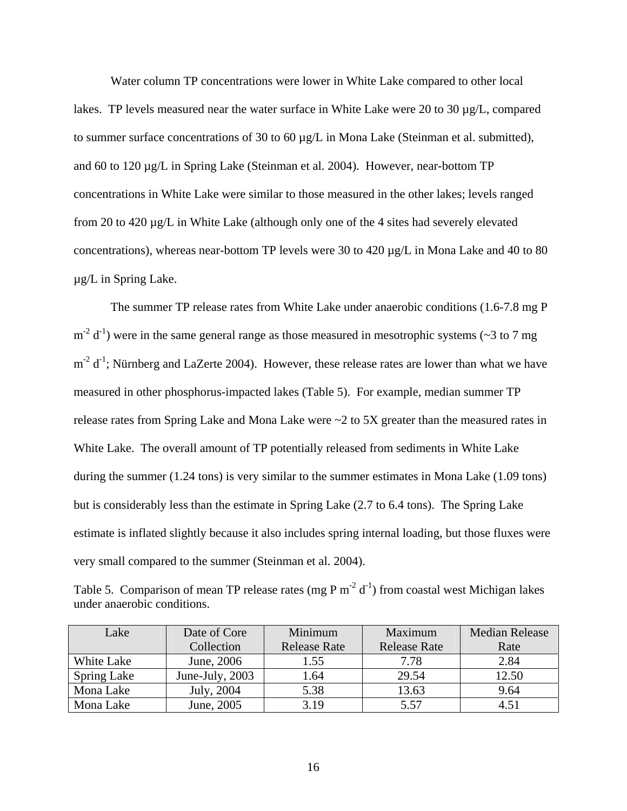Water column TP concentrations were lower in White Lake compared to other local lakes. TP levels measured near the water surface in White Lake were 20 to 30 µg/L, compared to summer surface concentrations of 30 to 60 µg/L in Mona Lake (Steinman et al. submitted), and 60 to 120 µg/L in Spring Lake (Steinman et al. 2004). However, near-bottom TP concentrations in White Lake were similar to those measured in the other lakes; levels ranged from 20 to 420 µg/L in White Lake (although only one of the 4 sites had severely elevated concentrations), whereas near-bottom TP levels were 30 to 420 µg/L in Mona Lake and 40 to 80 µg/L in Spring Lake.

 The summer TP release rates from White Lake under anaerobic conditions (1.6-7.8 mg P  $m^{-2}$  d<sup>-1</sup>) were in the same general range as those measured in mesotrophic systems ( $\sim$ 3 to 7 mg  $m^{-2}$  d<sup>-1</sup>; Nürnberg and LaZerte 2004). However, these release rates are lower than what we have measured in other phosphorus-impacted lakes (Table 5). For example, median summer TP release rates from Spring Lake and Mona Lake were ~2 to 5X greater than the measured rates in White Lake. The overall amount of TP potentially released from sediments in White Lake during the summer (1.24 tons) is very similar to the summer estimates in Mona Lake (1.09 tons) but is considerably less than the estimate in Spring Lake (2.7 to 6.4 tons). The Spring Lake estimate is inflated slightly because it also includes spring internal loading, but those fluxes were very small compared to the summer (Steinman et al. 2004).

Table 5. Comparison of mean TP release rates (mg P m<sup>-2</sup> d<sup>-1</sup>) from coastal west Michigan lakes under anaerobic conditions.

| Lake               | Date of Core    | Minimum      | Maximum             | <b>Median Release</b> |
|--------------------|-----------------|--------------|---------------------|-----------------------|
|                    | Collection      | Release Rate | <b>Release Rate</b> | Rate                  |
| White Lake         | June, 2006      | 1.55         | 7.78                | 2.84                  |
| <b>Spring Lake</b> | June-July, 2003 | 1.64         | 29.54               | 12.50                 |
| Mona Lake          | July, 2004      | 5.38         | 13.63               | 9.64                  |
| Mona Lake          | June, 2005      | 3.19         | 5.57                | 4.51                  |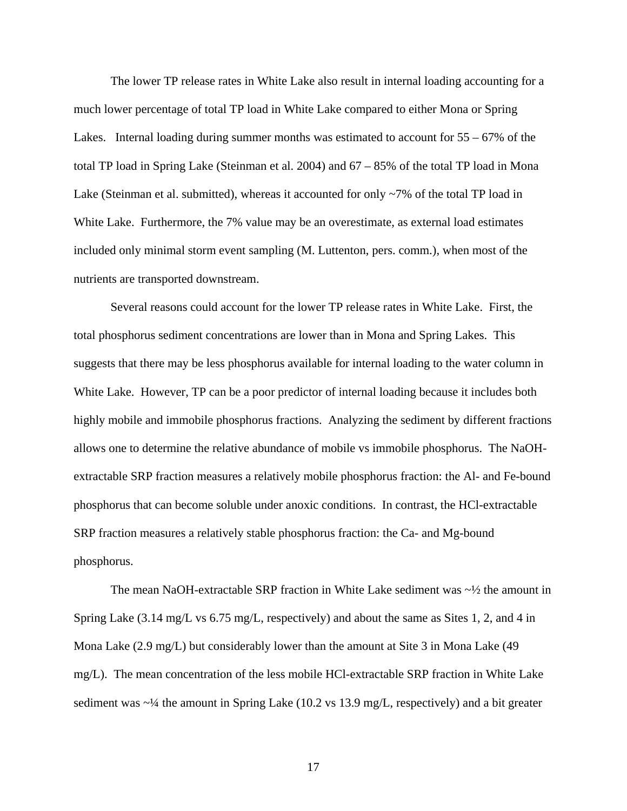The lower TP release rates in White Lake also result in internal loading accounting for a much lower percentage of total TP load in White Lake compared to either Mona or Spring Lakes. Internal loading during summer months was estimated to account for 55 – 67% of the total TP load in Spring Lake (Steinman et al. 2004) and 67 – 85% of the total TP load in Mona Lake (Steinman et al. submitted), whereas it accounted for only ~7% of the total TP load in White Lake. Furthermore, the 7% value may be an overestimate, as external load estimates included only minimal storm event sampling (M. Luttenton, pers. comm.), when most of the nutrients are transported downstream.

 Several reasons could account for the lower TP release rates in White Lake. First, the total phosphorus sediment concentrations are lower than in Mona and Spring Lakes. This suggests that there may be less phosphorus available for internal loading to the water column in White Lake. However, TP can be a poor predictor of internal loading because it includes both highly mobile and immobile phosphorus fractions. Analyzing the sediment by different fractions allows one to determine the relative abundance of mobile vs immobile phosphorus. The NaOHextractable SRP fraction measures a relatively mobile phosphorus fraction: the Al- and Fe-bound phosphorus that can become soluble under anoxic conditions. In contrast, the HCl-extractable SRP fraction measures a relatively stable phosphorus fraction: the Ca- and Mg-bound phosphorus.

The mean NaOH-extractable SRP fraction in White Lake sediment was  $\sim$  4 the amount in Spring Lake (3.14 mg/L vs 6.75 mg/L, respectively) and about the same as Sites 1, 2, and 4 in Mona Lake (2.9 mg/L) but considerably lower than the amount at Site 3 in Mona Lake (49 mg/L). The mean concentration of the less mobile HCl-extractable SRP fraction in White Lake sediment was  $\sim$ <sup>1</sup>/4 the amount in Spring Lake (10.2 vs 13.9 mg/L, respectively) and a bit greater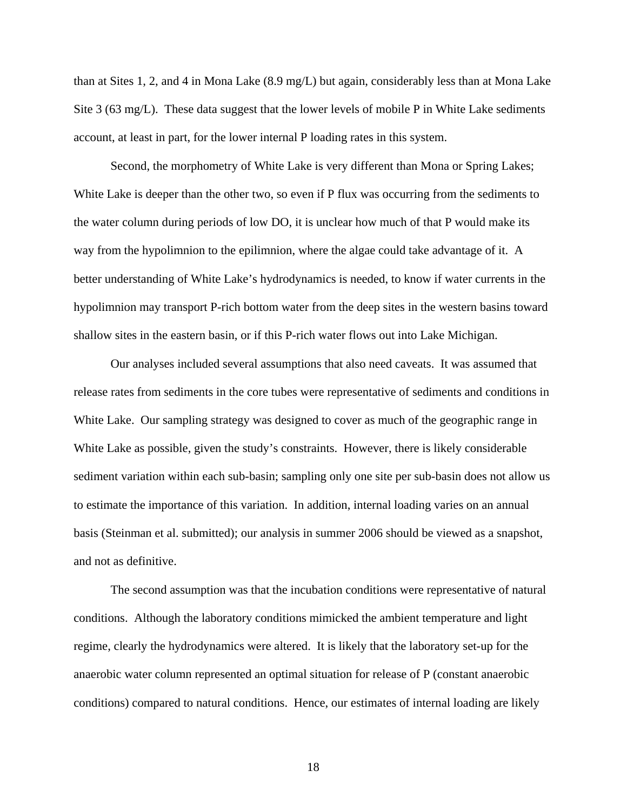than at Sites 1, 2, and 4 in Mona Lake (8.9 mg/L) but again, considerably less than at Mona Lake Site 3 (63 mg/L). These data suggest that the lower levels of mobile P in White Lake sediments account, at least in part, for the lower internal P loading rates in this system.

 Second, the morphometry of White Lake is very different than Mona or Spring Lakes; White Lake is deeper than the other two, so even if P flux was occurring from the sediments to the water column during periods of low DO, it is unclear how much of that P would make its way from the hypolimnion to the epilimnion, where the algae could take advantage of it. A better understanding of White Lake's hydrodynamics is needed, to know if water currents in the hypolimnion may transport P-rich bottom water from the deep sites in the western basins toward shallow sites in the eastern basin, or if this P-rich water flows out into Lake Michigan.

 Our analyses included several assumptions that also need caveats. It was assumed that release rates from sediments in the core tubes were representative of sediments and conditions in White Lake. Our sampling strategy was designed to cover as much of the geographic range in White Lake as possible, given the study's constraints. However, there is likely considerable sediment variation within each sub-basin; sampling only one site per sub-basin does not allow us to estimate the importance of this variation. In addition, internal loading varies on an annual basis (Steinman et al. submitted); our analysis in summer 2006 should be viewed as a snapshot, and not as definitive.

 The second assumption was that the incubation conditions were representative of natural conditions. Although the laboratory conditions mimicked the ambient temperature and light regime, clearly the hydrodynamics were altered. It is likely that the laboratory set-up for the anaerobic water column represented an optimal situation for release of P (constant anaerobic conditions) compared to natural conditions. Hence, our estimates of internal loading are likely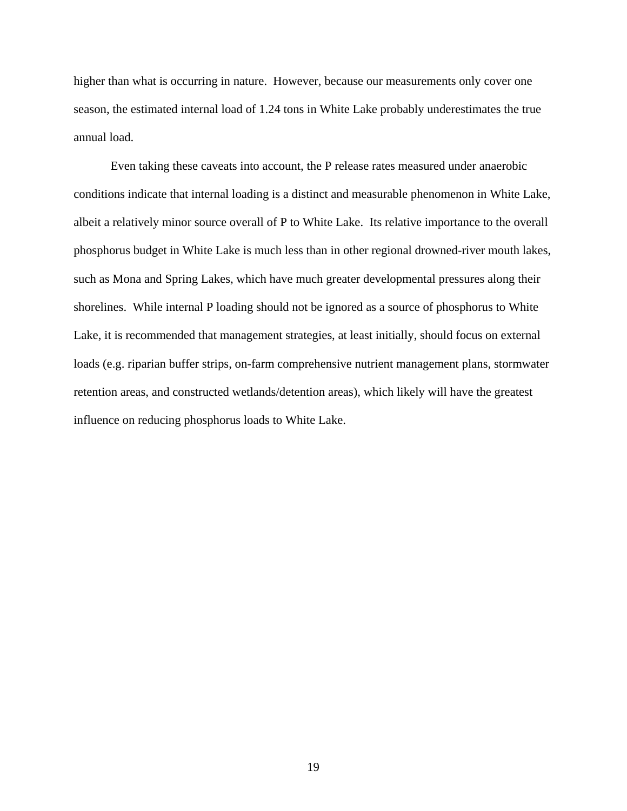higher than what is occurring in nature. However, because our measurements only cover one season, the estimated internal load of 1.24 tons in White Lake probably underestimates the true annual load.

 Even taking these caveats into account, the P release rates measured under anaerobic conditions indicate that internal loading is a distinct and measurable phenomenon in White Lake, albeit a relatively minor source overall of P to White Lake. Its relative importance to the overall phosphorus budget in White Lake is much less than in other regional drowned-river mouth lakes, such as Mona and Spring Lakes, which have much greater developmental pressures along their shorelines. While internal P loading should not be ignored as a source of phosphorus to White Lake, it is recommended that management strategies, at least initially, should focus on external loads (e.g. riparian buffer strips, on-farm comprehensive nutrient management plans, stormwater retention areas, and constructed wetlands/detention areas), which likely will have the greatest influence on reducing phosphorus loads to White Lake.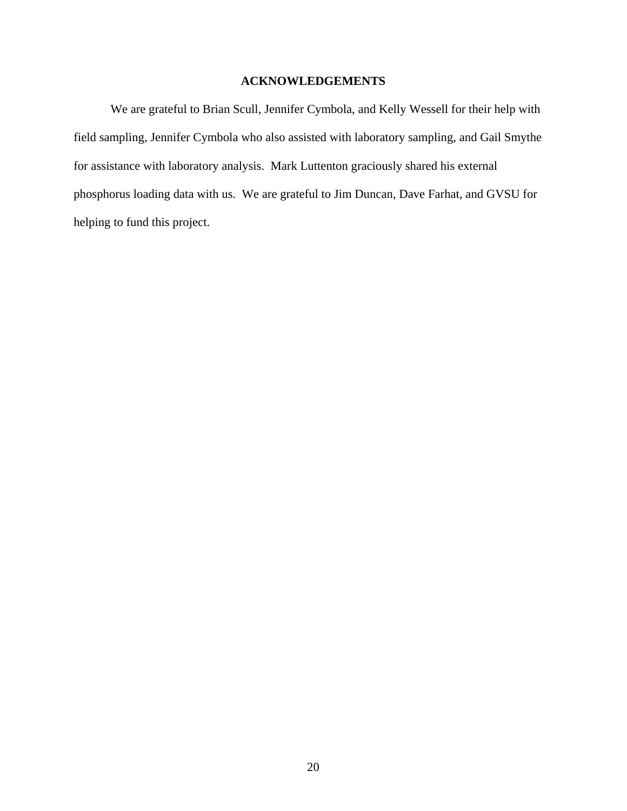# **ACKNOWLEDGEMENTS**

We are grateful to Brian Scull, Jennifer Cymbola, and Kelly Wessell for their help with field sampling, Jennifer Cymbola who also assisted with laboratory sampling, and Gail Smythe for assistance with laboratory analysis. Mark Luttenton graciously shared his external phosphorus loading data with us. We are grateful to Jim Duncan, Dave Farhat, and GVSU for helping to fund this project.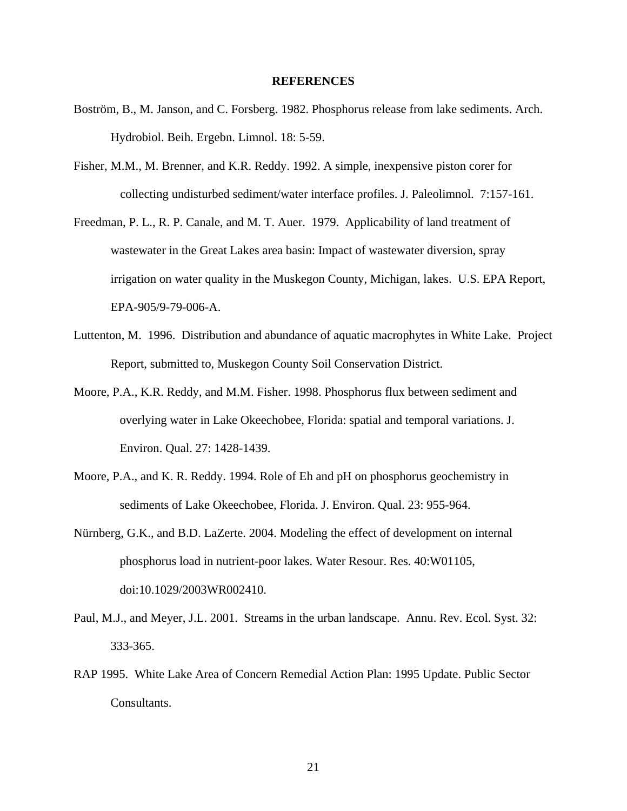### **REFERENCES**

- Boström, B., M. Janson, and C. Forsberg. 1982. Phosphorus release from lake sediments. Arch. Hydrobiol. Beih. Ergebn. Limnol. 18: 5-59.
- Fisher, M.M., M. Brenner, and K.R. Reddy. 1992. A simple, inexpensive piston corer for collecting undisturbed sediment/water interface profiles. J. Paleolimnol. 7:157-161.
- Freedman, P. L., R. P. Canale, and M. T. Auer. 1979. Applicability of land treatment of wastewater in the Great Lakes area basin: Impact of wastewater diversion, spray irrigation on water quality in the Muskegon County, Michigan, lakes. U.S. EPA Report, EPA-905/9-79-006-A.
- Luttenton, M. 1996. Distribution and abundance of aquatic macrophytes in White Lake. Project Report, submitted to, Muskegon County Soil Conservation District.
- Moore, P.A., K.R. Reddy, and M.M. Fisher. 1998. Phosphorus flux between sediment and overlying water in Lake Okeechobee, Florida: spatial and temporal variations. J. Environ. Qual. 27: 1428-1439.
- Moore, P.A., and K. R. Reddy. 1994. Role of Eh and pH on phosphorus geochemistry in sediments of Lake Okeechobee, Florida. J. Environ. Qual. 23: 955-964.
- Nürnberg, G.K., and B.D. LaZerte. 2004. Modeling the effect of development on internal phosphorus load in nutrient-poor lakes. Water Resour. Res. 40:W01105, doi:10.1029/2003WR002410.
- Paul, M.J., and Meyer, J.L. 2001. Streams in the urban landscape. Annu. Rev. Ecol. Syst. 32: 333-365.
- RAP 1995. White Lake Area of Concern Remedial Action Plan: 1995 Update. Public Sector Consultants.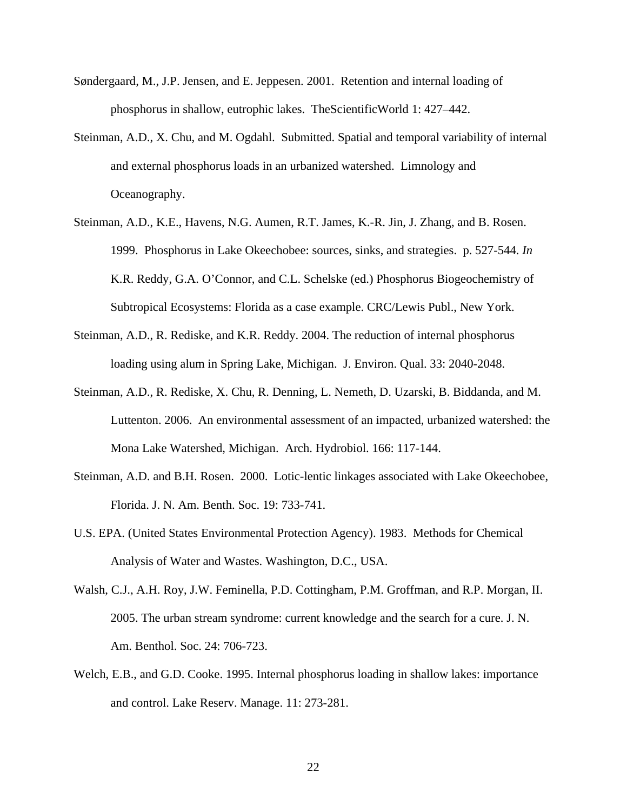- Søndergaard, M., J.P. Jensen, and E. Jeppesen. 2001. Retention and internal loading of phosphorus in shallow, eutrophic lakes. TheScientificWorld 1: 427–442.
- Steinman, A.D., X. Chu, and M. Ogdahl. Submitted. Spatial and temporal variability of internal and external phosphorus loads in an urbanized watershed. Limnology and Oceanography.
- Steinman, A.D., K.E., Havens, N.G. Aumen, R.T. James, K.-R. Jin, J. Zhang, and B. Rosen. 1999. Phosphorus in Lake Okeechobee: sources, sinks, and strategies. p. 527-544. *In* K.R. Reddy, G.A. O'Connor, and C.L. Schelske (ed.) Phosphorus Biogeochemistry of Subtropical Ecosystems: Florida as a case example. CRC/Lewis Publ., New York.
- Steinman, A.D., R. Rediske, and K.R. Reddy. 2004. The reduction of internal phosphorus loading using alum in Spring Lake, Michigan. J. Environ. Qual. 33: 2040-2048.
- Steinman, A.D., R. Rediske, X. Chu, R. Denning, L. Nemeth, D. Uzarski, B. Biddanda, and M. Luttenton. 2006. An environmental assessment of an impacted, urbanized watershed: the Mona Lake Watershed, Michigan. Arch. Hydrobiol. 166: 117-144.
- Steinman, A.D. and B.H. Rosen. 2000. Lotic-lentic linkages associated with Lake Okeechobee, Florida. J. N. Am. Benth. Soc. 19: 733-741.
- U.S. EPA. (United States Environmental Protection Agency). 1983. Methods for Chemical Analysis of Water and Wastes. Washington, D.C., USA.
- Walsh, C.J., A.H. Roy, J.W. Feminella, P.D. Cottingham, P.M. Groffman, and R.P. Morgan, II. 2005. The urban stream syndrome: current knowledge and the search for a cure. J. N. Am. Benthol. Soc. 24: 706-723.
- Welch, E.B., and G.D. Cooke. 1995. Internal phosphorus loading in shallow lakes: importance and control. Lake Reserv. Manage. 11: 273-281.